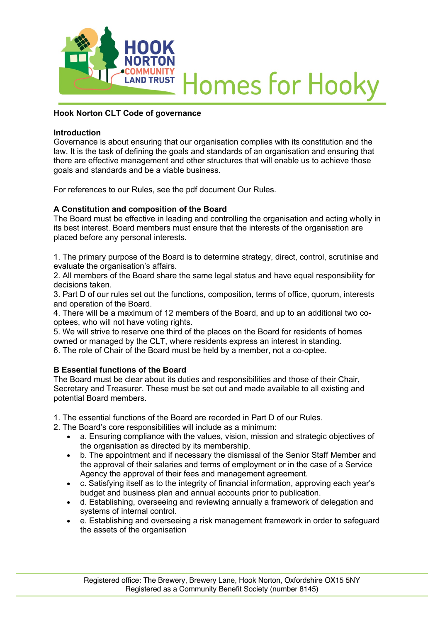

# **Homes for Hooky**

## **Hook Norton CLT Code of governance**

#### **Introduction**

Governance is about ensuring that our organisation complies with its constitution and the law. It is the task of defining the goals and standards of an organisation and ensuring that there are effective management and other structures that will enable us to achieve those goals and standards and be a viable business.

For references to our Rules, see the pdf document Our Rules.

#### **A Constitution and composition of the Board**

The Board must be effective in leading and controlling the organisation and acting wholly in its best interest. Board members must ensure that the interests of the organisation are placed before any personal interests.

1. The primary purpose of the Board is to determine strategy, direct, control, scrutinise and evaluate the organisation's affairs.

2. All members of the Board share the same legal status and have equal responsibility for decisions taken.

3. Part D of our rules set out the functions, composition, terms of office, quorum, interests and operation of the Board.

4. There will be a maximum of 12 members of the Board, and up to an additional two cooptees, who will not have voting rights.

5. We will strive to reserve one third of the places on the Board for residents of homes owned or managed by the CLT, where residents express an interest in standing. 6. The role of Chair of the Board must be held by a member, not a co-optee.

#### **B Essential functions of the Board**

The Board must be clear about its duties and responsibilities and those of their Chair, Secretary and Treasurer. These must be set out and made available to all existing and potential Board members.

1. The essential functions of the Board are recorded in Part D of our Rules.

2. The Board's core responsibilities will include as a minimum:

- a. Ensuring compliance with the values, vision, mission and strategic objectives of the organisation as directed by its membership.
- b. The appointment and if necessary the dismissal of the Senior Staff Member and the approval of their salaries and terms of employment or in the case of a Service Agency the approval of their fees and management agreement.
- c. Satisfying itself as to the integrity of financial information, approving each year's budget and business plan and annual accounts prior to publication.
- d. Establishing, overseeing and reviewing annually a framework of delegation and systems of internal control.
- e. Establishing and overseeing a risk management framework in order to safeguard the assets of the organisation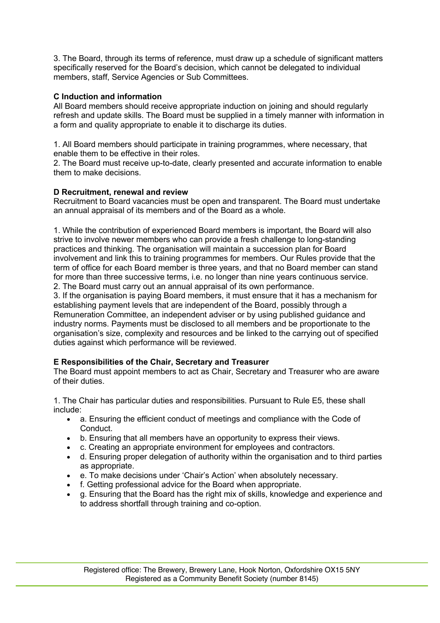3. The Board, through its terms of reference, must draw up a schedule of significant matters specifically reserved for the Board's decision, which cannot be delegated to individual members, staff, Service Agencies or Sub Committees.

## **C Induction and information**

All Board members should receive appropriate induction on joining and should regularly refresh and update skills. The Board must be supplied in a timely manner with information in a form and quality appropriate to enable it to discharge its duties.

1. All Board members should participate in training programmes, where necessary, that enable them to be effective in their roles.

2. The Board must receive up-to-date, clearly presented and accurate information to enable them to make decisions.

#### **D Recruitment, renewal and review**

Recruitment to Board vacancies must be open and transparent. The Board must undertake an annual appraisal of its members and of the Board as a whole.

1. While the contribution of experienced Board members is important, the Board will also strive to involve newer members who can provide a fresh challenge to long-standing practices and thinking. The organisation will maintain a succession plan for Board involvement and link this to training programmes for members. Our Rules provide that the term of office for each Board member is three years, and that no Board member can stand for more than three successive terms, i.e. no longer than nine years continuous service. 2. The Board must carry out an annual appraisal of its own performance.

3. If the organisation is paying Board members, it must ensure that it has a mechanism for establishing payment levels that are independent of the Board, possibly through a Remuneration Committee, an independent adviser or by using published guidance and industry norms. Payments must be disclosed to all members and be proportionate to the organisation's size, complexity and resources and be linked to the carrying out of specified duties against which performance will be reviewed.

# **E Responsibilities of the Chair, Secretary and Treasurer**

The Board must appoint members to act as Chair, Secretary and Treasurer who are aware of their duties.

1. The Chair has particular duties and responsibilities. Pursuant to Rule E5, these shall include:

- a. Ensuring the efficient conduct of meetings and compliance with the Code of Conduct.
- b. Ensuring that all members have an opportunity to express their views.
- c. Creating an appropriate environment for employees and contractors.
- d. Ensuring proper delegation of authority within the organisation and to third parties as appropriate.
- e. To make decisions under 'Chair's Action' when absolutely necessary.
- f. Getting professional advice for the Board when appropriate.
- g. Ensuring that the Board has the right mix of skills, knowledge and experience and to address shortfall through training and co-option.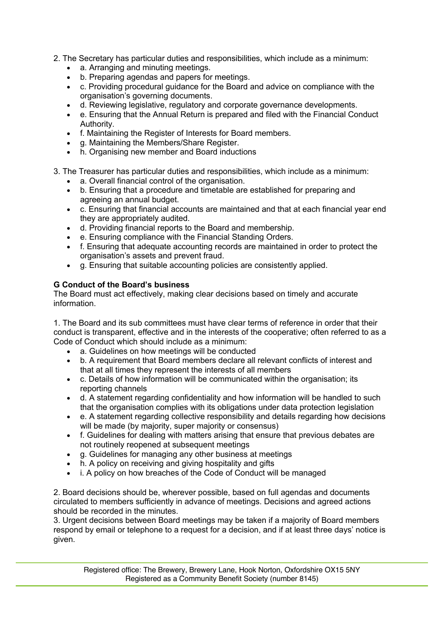- 2. The Secretary has particular duties and responsibilities, which include as a minimum:
	- a. Arranging and minuting meetings.
	- b. Preparing agendas and papers for meetings.
	- c. Providing procedural guidance for the Board and advice on compliance with the organisation's governing documents.
	- d. Reviewing legislative, regulatory and corporate governance developments.
	- e. Ensuring that the Annual Return is prepared and filed with the Financial Conduct Authority.
	- f. Maintaining the Register of Interests for Board members.
	- g. Maintaining the Members/Share Register.
	- h. Organising new member and Board inductions
- 3. The Treasurer has particular duties and responsibilities, which include as a minimum:
	- a. Overall financial control of the organisation.
	- b. Ensuring that a procedure and timetable are established for preparing and agreeing an annual budget.
	- c. Ensuring that financial accounts are maintained and that at each financial year end they are appropriately audited.
	- d. Providing financial reports to the Board and membership.
	- e. Ensuring compliance with the Financial Standing Orders.
	- f. Ensuring that adequate accounting records are maintained in order to protect the organisation's assets and prevent fraud.
	- g. Ensuring that suitable accounting policies are consistently applied.

## **G Conduct of the Board's business**

The Board must act effectively, making clear decisions based on timely and accurate information.

1. The Board and its sub committees must have clear terms of reference in order that their conduct is transparent, effective and in the interests of the cooperative; often referred to as a Code of Conduct which should include as a minimum:

- a. Guidelines on how meetings will be conducted
- b. A requirement that Board members declare all relevant conflicts of interest and that at all times they represent the interests of all members
- c. Details of how information will be communicated within the organisation; its reporting channels
- d. A statement regarding confidentiality and how information will be handled to such that the organisation complies with its obligations under data protection legislation
- e. A statement regarding collective responsibility and details regarding how decisions will be made (by majority, super majority or consensus)
- f. Guidelines for dealing with matters arising that ensure that previous debates are not routinely reopened at subsequent meetings
- g. Guidelines for managing any other business at meetings
- h. A policy on receiving and giving hospitality and gifts
- i. A policy on how breaches of the Code of Conduct will be managed

2. Board decisions should be, wherever possible, based on full agendas and documents circulated to members sufficiently in advance of meetings. Decisions and agreed actions should be recorded in the minutes.

3. Urgent decisions between Board meetings may be taken if a majority of Board members respond by email or telephone to a request for a decision, and if at least three days' notice is given.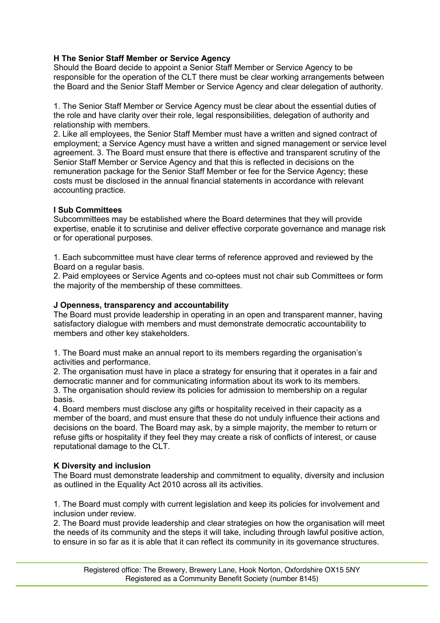## **H The Senior Staff Member or Service Agency**

Should the Board decide to appoint a Senior Staff Member or Service Agency to be responsible for the operation of the CLT there must be clear working arrangements between the Board and the Senior Staff Member or Service Agency and clear delegation of authority.

1. The Senior Staff Member or Service Agency must be clear about the essential duties of the role and have clarity over their role, legal responsibilities, delegation of authority and relationship with members.

2. Like all employees, the Senior Staff Member must have a written and signed contract of employment; a Service Agency must have a written and signed management or service level agreement. 3. The Board must ensure that there is effective and transparent scrutiny of the Senior Staff Member or Service Agency and that this is reflected in decisions on the remuneration package for the Senior Staff Member or fee for the Service Agency; these costs must be disclosed in the annual financial statements in accordance with relevant accounting practice.

## **I Sub Committees**

Subcommittees may be established where the Board determines that they will provide expertise, enable it to scrutinise and deliver effective corporate governance and manage risk or for operational purposes.

1. Each subcommittee must have clear terms of reference approved and reviewed by the Board on a regular basis.

2. Paid employees or Service Agents and co-optees must not chair sub Committees or form the majority of the membership of these committees.

## **J Openness, transparency and accountability**

The Board must provide leadership in operating in an open and transparent manner, having satisfactory dialogue with members and must demonstrate democratic accountability to members and other key stakeholders.

1. The Board must make an annual report to its members regarding the organisation's activities and performance.

2. The organisation must have in place a strategy for ensuring that it operates in a fair and democratic manner and for communicating information about its work to its members. 3. The organisation should review its policies for admission to membership on a regular basis.

4. Board members must disclose any gifts or hospitality received in their capacity as a member of the board, and must ensure that these do not unduly influence their actions and decisions on the board. The Board may ask, by a simple majority, the member to return or refuse gifts or hospitality if they feel they may create a risk of conflicts of interest, or cause reputational damage to the CLT.

#### **K Diversity and inclusion**

The Board must demonstrate leadership and commitment to equality, diversity and inclusion as outlined in the Equality Act 2010 across all its activities.

1. The Board must comply with current legislation and keep its policies for involvement and inclusion under review.

2. The Board must provide leadership and clear strategies on how the organisation will meet the needs of its community and the steps it will take, including through lawful positive action, to ensure in so far as it is able that it can reflect its community in its governance structures.